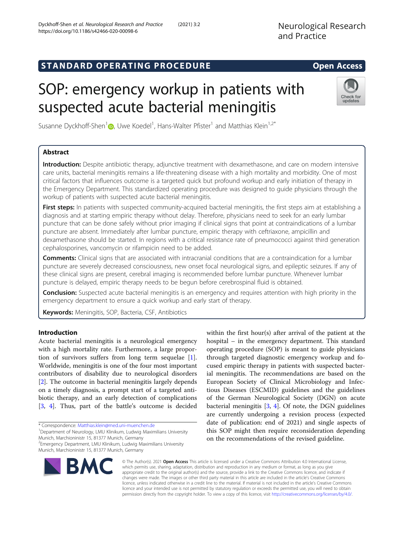# STANDARD OPERATING PROCEDURE EXAMPLE THE Open Access

# SOP: emergency workup in patients with suspected acute bacterial meningitis

Susanne Dyckhoff-Shen<sup>[1](http://orcid.org/0000-0001-9247-4884)</sup> $\textcircled{\tiny{\textcircled{\tiny{\textcirc}}}}$ , Uwe Koedel<sup>1</sup>, Hans-Walter Pfister<sup>1</sup> and Matthias Klein<sup>1,2\*</sup>

# Abstract

Introduction: Despite antibiotic therapy, adjunctive treatment with dexamethasone, and care on modern intensive care units, bacterial meningitis remains a life-threatening disease with a high mortality and morbidity. One of most critical factors that influences outcome is a targeted quick but profound workup and early initiation of therapy in the Emergency Department. This standardized operating procedure was designed to guide physicians through the workup of patients with suspected acute bacterial meningitis.

First steps: In patients with suspected community-acquired bacterial meningitis, the first steps aim at establishing a diagnosis and at starting empiric therapy without delay. Therefore, physicians need to seek for an early lumbar puncture that can be done safely without prior imaging if clinical signs that point at contraindications of a lumbar puncture are absent. Immediately after lumbar puncture, empiric therapy with ceftriaxone, ampicillin and dexamethasone should be started. In regions with a critical resistance rate of pneumococci against third generation cephalosporines, vancomycin or rifampicin need to be added.

Comments: Clinical signs that are associated with intracranial conditions that are a contraindication for a lumbar puncture are severely decreased consciousness, new onset focal neurological signs, and epileptic seizures. If any of these clinical signs are present, cerebral imaging is recommended before lumbar puncture. Whenever lumbar puncture is delayed, empiric therapy needs to be begun before cerebrospinal fluid is obtained.

Conclusion: Suspected acute bacterial meningitis is an emergency and requires attention with high priority in the emergency department to ensure a quick workup and early start of therapy.

Keywords: Meningitis, SOP, Bacteria, CSF, Antibiotics

# Introduction

Acute bacterial meningitis is a neurological emergency with a high mortality rate. Furthermore, a large proportion of survivors suffers from long term sequelae [\[1](#page-6-0)]. Worldwide, meningitis is one of the four most important contributors of disability due to neurological disorders [[2\]](#page-6-0). The outcome in bacterial meningitis largely depends on a timely diagnosis, a prompt start of a targeted antibiotic therapy, and an early detection of complications [[3,](#page-6-0) [4](#page-6-0)]. Thus, part of the battle's outcome is decided

\* Correspondence: [Matthias.klein@med.uni-muenchen.de](mailto:Matthias.klein@med.uni-muenchen.de) <sup>1</sup>

<sup>1</sup>Department of Neurology, LMU Klinikum, Ludwig Maximilians University Munich, Marchioninistr 15, 81377 Munich, Germany

2 Emergency Department, LMU Klinikum, Ludwig Maximilians University

Munich, Marchioninistr 15, 81377 Munich, Germany

© The Author(s). 2021 Open Access This article is licensed under a Creative Commons Attribution 4.0 International License, which permits use, sharing, adaptation, distribution and reproduction in any medium or format, as long as you give appropriate credit to the original author(s) and the source, provide a link to the Creative Commons licence, and indicate if changes were made. The images or other third party material in this article are included in the article's Creative Commons licence, unless indicated otherwise in a credit line to the material. If material is not included in the article's Creative Commons licence and your intended use is not permitted by statutory regulation or exceeds the permitted use, you will need to obtain permission directly from the copyright holder. To view a copy of this licence, visit [http://creativecommons.org/licenses/by/4.0/.](http://creativecommons.org/licenses/by/4.0/)

within the first hour(s) after arrival of the patient at the hospital – in the emergency department. This standard operating procedure (SOP) is meant to guide physicians through targeted diagnostic emergency workup and focused empiric therapy in patients with suspected bacterial meningitis. The recommendations are based on the European Society of Clinical Microbiology and Infectious Diseases (ESCMID) guidelines and the guidelines of the German Neurological Society (DGN) on acute bacterial meningitis [[3,](#page-6-0) [4](#page-6-0)]. Of note, the DGN guidelines are currently undergoing a revision process (expected date of publication: end of 2021) and single aspects of this SOP might then require reconsideration depending on the recommendations of the revised guideline.



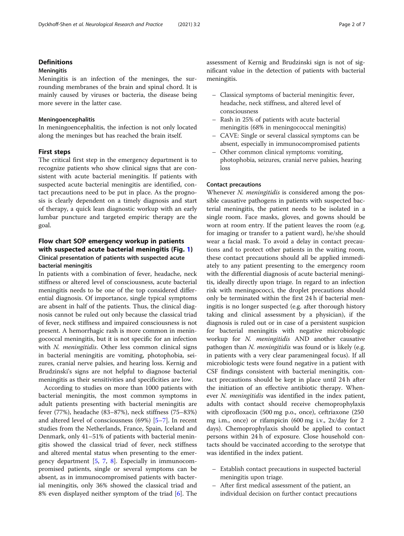# **Definitions**

# **Meningitis**

Meningitis is an infection of the meninges, the surrounding membranes of the brain and spinal chord. It is mainly caused by viruses or bacteria, the disease being more severe in the latter case.

#### Meningoencephalitis

In meningoencephalitis, the infection is not only located along the meninges but has reached the brain itself.

# First steps

The critical first step in the emergency department is to recognize patients who show clinical signs that are consistent with acute bacterial meningitis. If patients with suspected acute bacterial meningitis are identified, contact precautions need to be put in place. As the prognosis is clearly dependent on a timely diagnosis and start of therapy, a quick lean diagnostic workup with an early lumbar puncture and targeted empiric therapy are the goal.

# Flow chart SOP emergency workup in patients with suspected acute bacterial meningitis (Fig. [1](#page-2-0)) Clinical presentation of patients with suspected acute bacterial meningitis

In patients with a combination of fever, headache, neck stiffness or altered level of consciousness, acute bacterial meningitis needs to be one of the top considered differential diagnosis. Of importance, single typical symptoms are absent in half of the patients. Thus, the clinical diagnosis cannot be ruled out only because the classical triad of fever, neck stiffness and impaired consciousness is not present. A hemorrhagic rash is more common in meningococcal meningitis, but it is not specific for an infection with N. meningitidis. Other less common clinical signs in bacterial meningitis are vomiting, photophobia, seizures, cranial nerve palsies, and hearing loss. Kernig and Brudzinski's signs are not helpful to diagnose bacterial meningitis as their sensitivities and specificities are low.

According to studies on more than 1000 patients with bacterial meningitis, the most common symptoms in adult patients presenting with bacterial meningitis are fever (77%), headache (83–87%), neck stiffness (75–83%) and altered level of consciousness (69%) [[5](#page-6-0)–[7\]](#page-6-0). In recent studies from the Netherlands, France, Spain, Iceland and Denmark, only 41–51% of patients with bacterial meningitis showed the classical triad of fever, neck stiffness and altered mental status when presenting to the emergency department [[5](#page-6-0), [7](#page-6-0), [8\]](#page-6-0). Especially in immunocompromised patients, single or several symptoms can be absent, as in immunocompromised patients with bacterial meningitis, only 36% showed the classical triad and 8% even displayed neither symptom of the triad [[6\]](#page-6-0). The assessment of Kernig and Brudzinski sign is not of significant value in the detection of patients with bacterial meningitis.

- Classical symptoms of bacterial meningitis: fever, headache, neck stiffness, and altered level of consciousness
- Rash in 25% of patients with acute bacterial meningitis (68% in meningococcal meningitis)
- CAVE: Single or several classical symptoms can be absent, especially in immunocompromised patients
- Other common clinical symptoms: vomiting, photophobia, seizures, cranial nerve palsies, hearing loss

## Contact precautions

Whenever N. meningitidis is considered among the possible causative pathogens in patients with suspected bacterial meningitis, the patient needs to be isolated in a single room. Face masks, gloves, and gowns should be worn at room entry. If the patient leaves the room (e.g. for imaging or transfer to a patient ward), he/she should wear a facial mask. To avoid a delay in contact precautions and to protect other patients in the waiting room, these contact precautions should all be applied immediately to any patient presenting to the emergency room with the differential diagnosis of acute bacterial meningitis, ideally directly upon triage. In regard to an infection risk with meningococci, the droplet precautions should only be terminated within the first 24 h if bacterial meningitis is no longer suspected (e.g. after thorough history taking and clinical assessment by a physician), if the diagnosis is ruled out or in case of a persistent suspicion for bacterial meningitis with negative microbiologic workup for N. meningitidis AND another causative pathogen than N. meningitidis was found or is likely (e.g. in patients with a very clear parameningeal focus). If all microbiologic tests were found negative in a patient with CSF findings consistent with bacterial meningitis, contact precautions should be kept in place until 24 h after the initiation of an effective antibiotic therapy. Whenever N. meningitidis was identified in the index patient, adults with contact should receive chemoprophylaxis with ciprofloxacin (500 mg p.o., once), ceftriaxone (250 mg i.m., once) or rifampicin (600 mg i.v., 2x/day for 2 days). Chemoprophylaxis should be applied to contact persons within 24 h of exposure. Close household contacts should be vaccinated according to the serotype that was identified in the index patient.

- Establish contact precautions in suspected bacterial meningitis upon triage.
- After first medical assessment of the patient, an individual decision on further contact precautions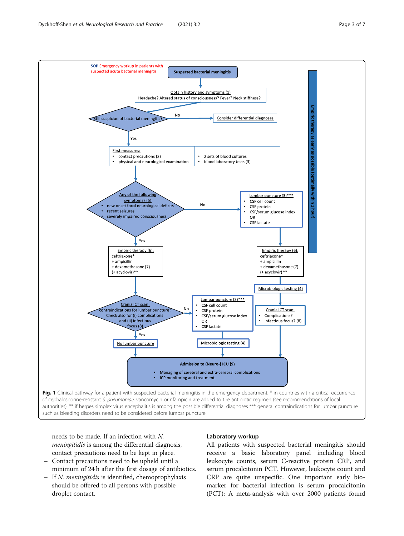<span id="page-2-0"></span>

needs to be made. If an infection with N. meningitidis is among the differential diagnosis, contact precautions need to be kept in place.

- Contact precautions need to be upheld until a minimum of 24 h after the first dosage of antibiotics.
- If N. meningitidis is identified, chemoprophylaxis should be offered to all persons with possible droplet contact.

# Laboratory workup

All patients with suspected bacterial meningitis should receive a basic laboratory panel including blood leukocyte counts, serum C-reactive protein CRP, and serum procalcitonin PCT. However, leukocyte count and CRP are quite unspecific. One important early biomarker for bacterial infection is serum procalcitonin (PCT): A meta-analysis with over 2000 patients found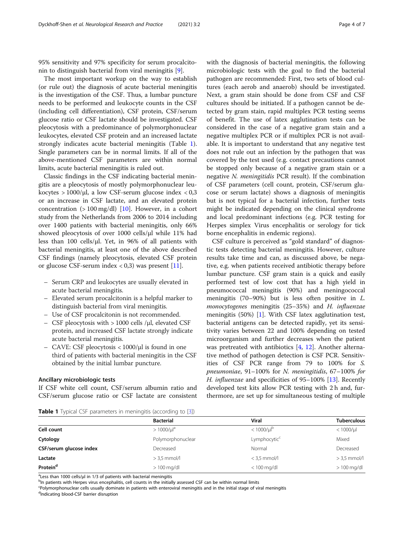95% sensitivity and 97% specificity for serum procalcitonin to distinguish bacterial from viral meningitis [\[9](#page-6-0)].

The most important workup on the way to establish (or rule out) the diagnosis of acute bacterial meningitis is the investigation of the CSF. Thus, a lumbar puncture needs to be performed and leukocyte counts in the CSF (including cell differentiation), CSF protein, CSF/serum glucose ratio or CSF lactate should be investigated. CSF pleocytosis with a predominance of polymorphonuclear leukocytes, elevated CSF protein and an increased lactate strongly indicates acute bacterial meningitis (Table 1). Single parameters can be in normal limits. If all of the above-mentioned CSF parameters are within normal limits, acute bacterial meningitis is ruled out.

Classic findings in the CSF indicating bacterial meningitis are a pleocytosis of mostly polymorphonuclear leukocytes  $> 1000/\mu l$ , a low CSF-serum glucose index  $< 0.3$ or an increase in CSF lactate, and an elevated protein concentration  $(>100 \text{ mg/dl})$  [[10\]](#page-6-0). However, in a cohort study from the Netherlands from 2006 to 2014 including over 1400 patients with bacterial meningitis, only 66% showed pleocytosis of over 1000 cells/μl while 11% had less than 100 cells/μl. Yet, in 96% of all patients with bacterial meningitis, at least one of the above described CSF findings (namely pleocytosis, elevated CSF protein or glucose CSF-serum index  $< 0.3$ ) was present [\[11\]](#page-6-0).

- Serum CRP and leukocytes are usually elevated in acute bacterial meningitis.
- Elevated serum procalcitonin is a helpful marker to distinguish bacterial from viral meningitis.
- Use of CSF procalcitonin is not recommended.
- CSF pleocytosis with > 1000 cells /μl, elevated CSF protein, and increased CSF lactate strongly indicate acute bacterial meningitis.
- CAVE: CSF pleocytosis < 1000/μl is found in one third of patients with bacterial meningitis in the CSF obtained by the initial lumbar puncture.

#### Ancillary microbiologic tests

If CSF white cell count, CSF/serum albumin ratio and CSF/serum glucose ratio or CSF lactate are consistent with the diagnosis of bacterial meningitis, the following microbiologic tests with the goal to find the bacterial pathogen are recommended: First, two sets of blood cultures (each aerob and anaerob) should be investigated. Next, a gram stain should be done from CSF and CSF cultures should be initiated. If a pathogen cannot be detected by gram stain, rapid multiplex PCR testing seems of benefit. The use of latex agglutination tests can be considered in the case of a negative gram stain and a negative multiplex PCR or if multiplex PCR is not available. It is important to understand that any negative test does not rule out an infection by the pathogen that was covered by the test used (e.g. contact precautions cannot be stopped only because of a negative gram stain or a negative N. meningitidis PCR result). If the combination of CSF parameters (cell count, protein, CSF/serum glucose or serum lactate) shows a diagnosis of meningitis but is not typical for a bacterial infection, further tests might be indicated depending on the clinical syndrome and local predominant infections (e.g. PCR testing for Herpes simplex Virus encephalitis or serology for tick borne encephalitis in endemic regions).

CSF culture is perceived as "gold standard" of diagnostic tests detecting bacterial meningitis. However, culture results take time and can, as discussed above, be negative, e.g. when patients received antibiotic therapy before lumbar puncture. CSF gram stain is a quick and easily performed test of low cost that has a high yield in pneumococcal meningitis (90%) and meningococcal meningitis (70–90%) but is less often positive in L. monocytogenes meningitis (25–35%) and H. influenzae meningitis (50%) [\[1](#page-6-0)]. With CSF latex agglutination test, bacterial antigens can be detected rapidly, yet its sensitivity varies between 22 and 100% depending on tested microorganism and further decreases when the patient was pretreated with antibiotics [[4,](#page-6-0) [12](#page-6-0)]. Another alternative method of pathogen detection is CSF PCR. Sensitivities of CSF PCR range from 79 to 100% for S. pneumoniae, 91–100% for N. meningitidis, 67–100% for H. influenzae and specificities of 95–100% [\[13](#page-6-0)]. Recently developed test kits allow PCR testing with 2 h and, furthermore, are set up for simultaneous testing of multiple

**Table 1** Typical CSF parameters in meningitis (according to [\[3](#page-6-0)])

|                         | <b>Bacterial</b>         | <b>Viral</b>                | <b>Tuberculous</b> |
|-------------------------|--------------------------|-----------------------------|--------------------|
| Cell count              | $>1000/\mu$ <sup>a</sup> | $< 1000 / \mu$ <sup>b</sup> | $< 1000 / \mu$     |
| Cytology                | Polymorphonuclear        | Lymphocytic <sup>c</sup>    | Mixed              |
| CSF/serum glucose index | Decreased                | Normal                      | Decreased          |
| Lactate                 | $>$ 3,5 mmol/l           | $<$ 3,5 mmol/l              | $>$ 3,5 mmol/l     |
| Protein <sup>d</sup>    | $>100$ mg/dl             | $< 100$ mg/dl               | $>100$ mg/dl       |

 $a<sup>a</sup>$ Less than 1000 cells/µl in 1/3 of patients with bacterial meningitis below the straight patients with Herner virus enconhalitie, call counter in the initial

<sup>b</sup>In patients with Herpes virus encephalitis, cell counts in the initially assessed CSF can be within normal limits

<sup>c</sup>Polymorphonuclear cells usually dominate in patients with enteroviral meningitis and in the initial stage of viral meningitis d<sub>Indicating blood-CSF barrier disruption</sub>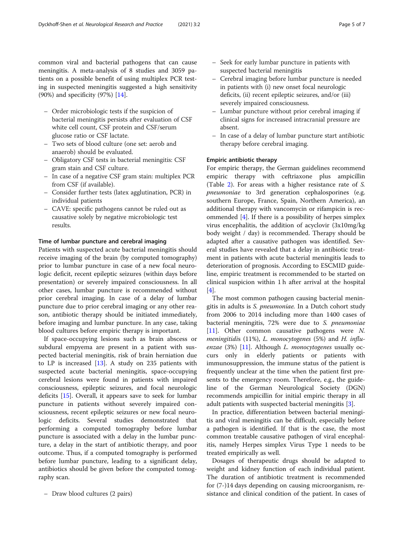common viral and bacterial pathogens that can cause meningitis. A meta-analysis of 8 studies and 3059 patients on a possible benefit of using multiplex PCR testing in suspected meningitis suggested a high sensitivity (90%) and specificity (97%) [[14\]](#page-6-0).

- Order microbiologic tests if the suspicion of bacterial meningitis persists after evaluation of CSF white cell count, CSF protein and CSF/serum glucose ratio or CSF lactate.
- Two sets of blood culture (one set: aerob and anaerob) should be evaluated.
- Obligatory CSF tests in bacterial meningitis: CSF gram stain and CSF culture.
- In case of a negative CSF gram stain: multiplex PCR from CSF (if available).
- Consider further tests (latex agglutination, PCR) in individual patients
- CAVE: specific pathogens cannot be ruled out as causative solely by negative microbiologic test results.

# Time of lumbar puncture and cerebral imaging

Patients with suspected acute bacterial meningitis should receive imaging of the brain (by computed tomography) prior to lumbar puncture in case of a new focal neurologic deficit, recent epileptic seizures (within days before presentation) or severely impaired consciousness. In all other cases, lumbar puncture is recommended without prior cerebral imaging. In case of a delay of lumbar puncture due to prior cerebral imaging or any other reason, antibiotic therapy should be initiated immediately, before imaging and lumbar puncture. In any case, taking blood cultures before empiric therapy is important.

If space-occupying lesions such as brain abscess or subdural empyema are present in a patient with suspected bacterial meningitis, risk of brain herniation due to LP is increased  $[13]$  $[13]$ . A study on 235 patients with suspected acute bacterial meningitis, space-occupying cerebral lesions were found in patients with impaired consciousness, epileptic seizures, and focal neurologic deficits [[15](#page-6-0)]. Overall, it appears save to seek for lumbar puncture in patients without severely impaired consciousness, recent epileptic seizures or new focal neurologic deficits. Several studies demonstrated that performing a computed tomography before lumbar puncture is associated with a delay in the lumbar puncture, a delay in the start of antibiotic therapy, and poor outcome. Thus, if a computed tomography is performed before lumbar puncture, leading to a significant delay, antibiotics should be given before the computed tomography scan.

- Seek for early lumbar puncture in patients with suspected bacterial meningitis
- Cerebral imaging before lumbar puncture is needed in patients with (i) new onset focal neurologic deficits, (ii) recent epileptic seizures, and/or (iii) severely impaired consciousness.
- Lumbar puncture without prior cerebral imaging if clinical signs for increased intracranial pressure are absent.
- In case of a delay of lumbar puncture start antibiotic therapy before cerebral imaging.

# Empiric antibiotic therapy

For empiric therapy, the German guidelines recommend empiric therapy with ceftriaxone plus ampicillin (Table [2](#page-5-0)). For areas with a higher resistance rate of S. pneumoniae to 3rd generation cephalosporines (e.g. southern Europe, France, Spain, Northern America), an additional therapy with vancomycin or rifampicin is recommended [\[4](#page-6-0)]. If there is a possibility of herpes simplex virus encephalitis, the addition of acyclovir (3x10mg/kg body weight / day) is recommended. Therapy should be adapted after a causative pathogen was identified. Several studies have revealed that a delay in antibiotic treatment in patients with acute bacterial meningitis leads to deterioration of prognosis. According to ESCMID guideline, empiric treatment is recommended to be started on clinical suspicion within 1 h after arrival at the hospital  $[4]$  $[4]$ .

The most common pathogen causing bacterial meningitis in adults is S. pneumoniae. In a Dutch cohort study from 2006 to 2014 including more than 1400 cases of bacterial meningitis, 72% were due to S. pneumoniae [[11\]](#page-6-0). Other common causative pathogens were N. meningitidis (11%), L. monocytogenes (5%) and H. influenzae  $(3%)$  [[11\]](#page-6-0). Although *L. monocytogenes* usually occurs only in elderly patients or patients with immunosuppression, the immune status of the patient is frequently unclear at the time when the patient first presents to the emergency room. Therefore, e.g., the guideline of the German Neurological Society (DGN) recommends ampicillin for initial empiric therapy in all adult patients with suspected bacterial meningitis [\[3](#page-6-0)].

In practice, differentiation between bacterial meningitis and viral meningitis can be difficult, especially before a pathogen is identified. If that is the case, the most common treatable causative pathogen of viral encephalitis, namely Herpes simplex Virus Type 1 needs to be treated empirically as well.

Dosages of therapeutic drugs should be adapted to weight and kidney function of each individual patient. The duration of antibiotic treatment is recommended for (7-)14 days depending on causing microorganism, resistance and clinical condition of the patient. In cases of

<sup>–</sup> Draw blood cultures (2 pairs)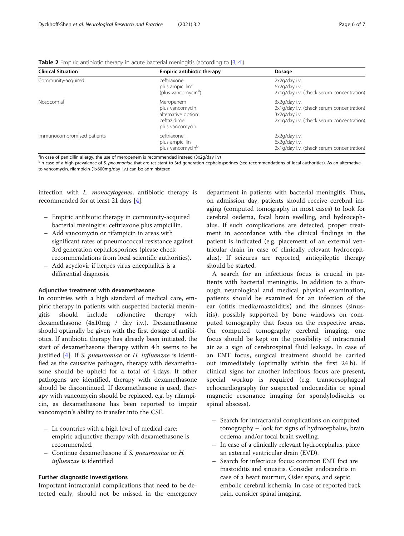<span id="page-5-0"></span>

| Table 2 Empiric antibiotic therapy in acute bacterial meningitis (according to [3, 4]) |  |  |  |
|----------------------------------------------------------------------------------------|--|--|--|
|----------------------------------------------------------------------------------------|--|--|--|

| <b>Clinical Situation</b>  | <b>Empiric antibiotic therapy</b>                                                     | Dosage                                                                                                                   |
|----------------------------|---------------------------------------------------------------------------------------|--------------------------------------------------------------------------------------------------------------------------|
| Community-acquired         | ceftriaxone<br>plus ampicillin <sup>a</sup><br>(plus vancomycin <sup>b</sup> )        | $2x2q/day$ i.v.<br>6x2q/day i.v.<br>2x1g/day i.v. (check serum concentration)                                            |
| Nosocomial                 | Meropenem<br>plus vancomycin<br>alternative option:<br>ceftazidime<br>plus vancomycin | 3x2q/day i.v.<br>2x1g/day i.v. (check serum concentration)<br>3x2q/day i.v.<br>2x1g/day i.v. (check serum concentration) |
| Immunocompromised patients | ceftriaxone<br>plus ampicillin<br>plus vancomycin <sup>b</sup>                        | $2x2q/day$ i.v.<br>6x2q/day i.v.<br>2x1g/day i.v. (check serum concentration)                                            |

<sup>a</sup>In case of penicillin allergy, the use of meropenem is recommended instead (3x2g/day i.v)

<sup>b</sup>In case of a high prevalence of S. pneumoniae that are resistant to 3rd generation cephalosporines (see recommendations of local authorities). As an alternative to vancomycin, rifampicin (1x600mg/day i.v.) can be administered

infection with L. monocytogenes, antibiotic therapy is recommended for at least 21 days [\[4](#page-6-0)].

- Empiric antibiotic therapy in community-acquired bacterial meningitis: ceftriaxone plus ampicillin.
- Add vancomycin or rifampicin in areas with significant rates of pneumococcal resistance against 3rd generation cephalosporines (please check recommendations from local scientific authorities).
- Add acyclovir if herpes virus encephalitis is a differential diagnosis.

#### Adjunctive treatment with dexamethasone

In countries with a high standard of medical care, empiric therapy in patients with suspected bacterial meningitis should include adjunctive therapy with dexamethasone (4x10mg / day i.v.). Dexamethasone should optimally be given with the first dosage of antibiotics. If antibiotic therapy has already been initiated, the start of dexamethasone therapy within 4 h seems to be justified [[4\]](#page-6-0). If S. pneumoniae or H. influenzae is identified as the causative pathogen, therapy with dexamethasone should be upheld for a total of 4 days. If other pathogens are identified, therapy with dexamethasone should be discontinued. If dexamethasone is used, therapy with vancomycin should be replaced, e.g. by rifampicin, as dexamethasone has been reported to impair vancomycin's ability to transfer into the CSF.

- In countries with a high level of medical care: empiric adjunctive therapy with dexamethasone is recommended.
- Continue dexamethasone if S. pneumoniae or H. influenzae is identified

#### Further diagnostic investigations

Important intracranial complications that need to be detected early, should not be missed in the emergency

department in patients with bacterial meningitis. Thus, on admission day, patients should receive cerebral imaging (computed tomography in most cases) to look for cerebral oedema, focal brain swelling, and hydrocephalus. If such complications are detected, proper treatment in accordance with the clinical findings in the patient is indicated (e.g. placement of an external ventricular drain in case of clinically relevant hydrocephalus). If seizures are reported, antiepileptic therapy should be started.

A search for an infectious focus is crucial in patients with bacterial meningitis. In addition to a thorough neurological and medical physical examination, patients should be examined for an infection of the ear (otitis media/mastoiditis) and the sinuses (sinusitis), possibly supported by bone windows on computed tomography that focus on the respective areas. On computed tomography cerebral imaging, one focus should be kept on the possibility of intracranial air as a sign of cerebrospinal fluid leakage. In case of an ENT focus, surgical treatment should be carried out immediately (optimally within the first 24 h). If clinical signs for another infectious focus are present, special workup is required (e.g. transoesophageal echocardiography for suspected endocarditis or spinal magnetic resonance imaging for spondylodiscitis or spinal abscess).

- Search for intracranial complications on computed tomography – look for signs of hydrocephalus, brain oedema, and/or focal brain swelling.
- In case of a clinically relevant hydrocephalus, place an external ventricular drain (EVD).
- Search for infectious focus: common ENT foci are mastoiditis and sinusitis. Consider endocarditis in case of a heart murmur, Osler spots, and septic embolic cerebral ischemia. In case of reported back pain, consider spinal imaging.